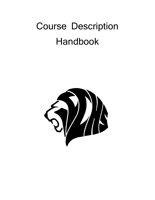# Course Description Handbook

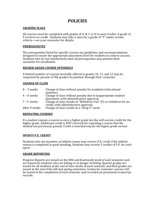# **POLICIES**

## **GRADING SCALE**

All courses must be completed with grades of A, B, C or D to earn Credits. A grade of F receives no credit. Students may take a class for a grade of "P" under certain criteria—see your counselor for details.

## **PREREQUISITES**

The prerequisites listed for specific courses are guidelines and recommendations designed to ensure the appropriate placement level for students to achieve success. Students who do not satisfactorily meet all prerequisites may petition their counselor for enrollment.

## **HIGHER GRADE COURSE OFFERINGS**

A limited number of courses normally offered in grades 10, 11, and 12 may be requested by parents of 9th graders by petition through their counselor.

## **CHANGE OF CLASS**

| $0 - 3$ weeks | Change of class without penalty for academic/educational          |
|---------------|-------------------------------------------------------------------|
|               | purposes.                                                         |
| $4 - 6$ weeks | Change of class without penalty due to inappropriate student      |
|               | placement, with administrative approval.                          |
| 7 - 9 weeks   | Change of class results in "Withdraw Fail" (F) or withdraw for no |
|               | credit, with administrative approval.                             |
| After 9 weeks | Change of class results in a "Drop F" mark.                       |

#### **REPEATING COURSES**

If a student repeats a course to earn a higher grade he/she will receive credit for the higher grade. Additional credit is NOT received for repeating a course that the student has previously passed. *Credit is awarded only for the higher grade earned.*

#### **SPORTS P.E. CREDIT**

Students who are members of athletic teams may receive P.E. credit if the athletic season is completed in good standing. Students may receive 5 credits of P.E. for each sport.

#### **GRADE REPORTING**

Progress Reports are issued on the fifth and fourteenth week of each semester and are issued for students who are failing or in danger of failing. Quarter grades are issued for all students at the end of nine weeks of each semester and final grades are issued at the end of the fall and spring semesters. Grades for semester courses will be issued at the completion of each semester and recorded on permanent transcript records.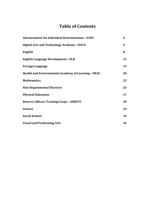# **Table of Contents**

| <b>Advancement Via Individual Determination-AVID</b>     |    |
|----------------------------------------------------------|----|
| Digital Arts and Technology Academy-DATA                 | 5  |
| <b>English</b>                                           | 8  |
| <b>English Language Development-ELD</b>                  | 13 |
| <b>Foreign Language</b>                                  | 15 |
| <b>Health and Environmental Academy of Learning-HEAL</b> | 20 |
| <b>Mathematics</b>                                       | 22 |
| <b>Non-Departmental Electives</b>                        | 26 |
| <b>Physical Education</b>                                |    |
| <b>Reserve Officers Training Corps-AFROTC</b>            | 30 |
| <b>Science</b>                                           | 34 |
| <b>Social Science</b>                                    | 39 |
| <b>Visual and Performing Arts</b>                        | 44 |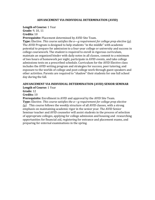## **ADVANCEMENT VIA INDIVIDUAL DETERMINATION (AVID)**

# **Length of Course:** 1 Year

**Grade:** 9, 10, 11 **Credits:** 10

**Prerequisite:** Placement determined by AVID Site Team.

**Type:** Elective. *This course satisfies the a—g requirement for college prep elective (g).*  The AVID Program is designed to help students "in the middle" with academic potential to prepare for admission to a four-year college or university and success in college coursework. The student is required to enroll in rigorous curriculum, maintain an organized binder with daily notes in all classes, commit to a minimum of two hours of homework per night, participate in AVID events, and take college admissions tests on a prescribed schedule. Curriculum for the AVID Elective class includes the AVID writing program and strategies for success, peer tutoring, and exposure to the worlds of college and post-college work through guest speakers and other activities. Parents are required to "shadow" their students for one full school day during the fall.

# **ADVANCEMENT VIA INDIVIDUAL DETERMINATION (AVID) SENIOR SEMINAR**

**Length of Course:** 1 Year

**Grade:** 12

**Credits:** 10

**Prerequisite:** Enrollment in AVID and approval by the AVID Site Team.

**Type:** Elective. *This course satisfies the a—g requirement for college prep elective (g).* This course follows the weekly structure of all AVID classes, with a strong emphasis on maintaining academic rigor in the senior year. The AVID Senior Seminar teacher and AVID counselor will assist students in the process of selection of appropriate colleges, applying for college admission and housing and researching opportunities for financial aid, registering for entrance and placement exams, and preparing for external examinations in the spring.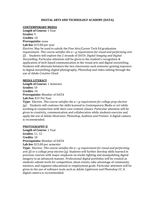## **DIGITAL ARTS AND TECHNOLOGY ACADEMY (DATA)**

#### **CONTEMPORARY MEDIA**

**Length of Course:** 1 Year **Grades:** 9 **Credits:** 10 **Prerequisite:** none **Lab fee:** \$15.00 per year Elective. May be used to satisfy the Fine Arts/Career Tech Ed graduation requirement. *This course satisfies the a—g requirement for visual and performing arts (f)*. Students will explore the 2 strands of *DATA*: *Digital Imaging and Digital Storytelling*. Particular attention will be given to the student's recognition & application of tech-based communication in the visual arts and digital storytelling. Students will alternate between the two classrooms each semester gaining exposure

to digital storytelling, digital photography, *Photoshop* and video editing through the use of *Adobe Creative Cloud*.

#### **MEDIA LITERACY**

**Length of Course:** 1 Semester **Grades:** 10 **Credits:** 10 **Prerequisite:** Member of DATA **Lab Fee:** \$15 Per Year

**Type:** Elective. *This course satisfies the a—g requirement for college prep elective (g).* Students will continue the skills learned in *Contemporary Media or art* while working in conjunction with their core content classes. Particular attention will be given to creativity, communication and collaboration while students exercise and apply the use of *Adobe Illustrator, Photoshop, Audition and Premier*. A digital camera is recommended.

#### **PHOTOGRAPHY II**

**Length of Course:** 1 Year **Grades:** 11, 12 **Credits**: 10 **Prerequisite:** Member of DATA **Lab fee:** \$15.00 per semester

**Type:** Elective. *This course satisfies the a—g requirement for visual and performing arts (f) or a college prep elective (g).* Students will further develop skills learned in previous courses with major emphasis on studio lighting and manipulating digital imagery in an advanced manner. Professional digital portfolios will be created as students submit work for competition, shoot events, take advantage of community mentors, and organize educational or employment goals. Particular attention will be given to the use of software tools such as *Adobe Lightroom and Photoshop CC*. A digital camera is recommended.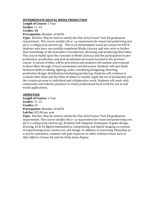## **INTERMEDIATE DIGITAL MEDIA PRODUCTION**

**Length of Course:** 1 Year **Grades:** 11, 12 **Credits: 10**

## **Prerequisite:** Member of DATA

**Type:** Elective. May be used to satisfy the Fine Arts/Career Tech Ed graduation requirement. *This course satisfies the a—g requirement for visual and performing arts (f) or a college prep elective (g).* This is an intermediate visual art course for DATA students who have successfully completed Media Literacy and who wish to further their knowledge of the principles of production, directing, and producing film/video. This course builds upon the concepts of Media Literacy and the participation in preproduction, production, and post-production processes learned in the previous course. A variety of films will be previewed and students will analyze and respond to these films through critical assessment and discussion. Students will also build technical skills in editing, lighting, audio, scheduling/budgeting, directing, production design, distribution/marketing/producing. Students will continue to evaluate their films and the films of others to further apply the art of production and the creative process to individual and collaborative work. Students will work with community and industry partners to create professional level work for use in real world applications.

#### **ANIMATION**

**Length of Course:** 1 Year **Grades:** 11, 12 **Credits:** 10 **Prerequisite:** Member of DATA **Lab fee:** \$15.00 per year **Type:** Elective. May be used to satisfy the Fine Arts/Career Tech Ed graduation requirement. *This course satisfies the a—g requirement for visual and performing arts (f) or a college prep elective (g).* Students will integrate techniques of game design, drawing, 2d & 3d digital manipulation, compositing, and digital imaging as a means of experiencing story, motion art, and design. In addition to exercising *Photoshop* as a tool for animation, students will gain exposure to other software items such as *After Effects, Cinema 4d,* and *the Unity Game Engine*.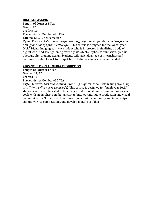## **DIGITAL IMAGING**

**Length of Course:** 1 Year **Grade:** 12 **Credits:** 10 **Prerequisite:** Member of DATA **Lab fee:** \$15.00 per semester

**Type:** Elective. *This course satisfies the a—g requirement for visual and performing arts (f) or a college prep elective (g).* This course is designed for the fourth year DATA Digital Imaging pathway student who is interested in finalizing a body of digital work and strengthening career goals which emphasize animation, graphics, photography, or game design. Students will take advantage of internships and continue to submit work to competitions. A digital camera is recommended.

## **ADVANCED DIGITAL MEDIA PRODUCTION**

**Length of Course:** 1 Year **Grades:** 11, 12 **Credits:** 10 **Prerequisite:** Member of DATA

**Type:** Elective. *This course satisfies the a—g requirement for visual and performing arts (f) or a college prep elective (g).* This course is designed for fourth year DATA students who are interested in finalizing a body of work and strengthening career goals with an emphasis on digital storytelling, editing, audio production and visual communication. Students will continue to work with community and internships, submit work to competitions, and develop digital portfolios.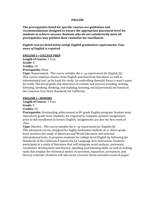#### **ENGLISH**

**The prerequisites listed for specific courses are guidelines and recommendations designed to ensure the appropriate placement level for students to achieve success. Students who do not satisfactorily meet all prerequisites may petition their counselor for enrollment.**

## *English courses listed below satisfy English graduation requirements***.** *Four years of English is required.*

## **ENGLISH I—COLLEGE PREP**

**Length of Course:** 1 Year **Grade:** 9 **Credits:** 10 **Prerequisite:** None

**Type:** Requirement. *This course satisfies the a—g requirement for English (b)* This course employs classics from English and American literature, as well as informational text, as its basis for study. Its controlling thematic focus is man's quest for truth. The broad goals and objectives of content and process (reading, writing, listening, speaking, thinking, and studying, learning, social/personal) are based on the Common Core State Standards for California.

## **ENGLISH I—HONORS**

**Length of Course**: 1 Year **Grade:** 9 **Credits:** 10

**Prerequisite:** Outstanding achievement in 8th grade English program. Student must read above grade level. Students are required to complete summer assignments prior to fall enrollment in honors English. Assignments are due the first week of class.

**Type:** Elective. *This course satisfies the a—g requirement for English (b)* This advanced course, designed for highly motivated students at or above gradelevel, involves the study of American and World literature and selected informational texts. It prepares students for college-level English by following the Standards of the California Framework for Language Arts instruction. Students participate in a study of literature that will integrate word analysis, systematic vocabulary development and fluency, speaking and listening skills, as well as writing tasks that employ the rhetorical modes of narration, exposition, persuasion, and literary criticism. Students will also write a formal, thesis-oriented research paper.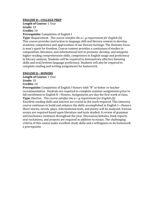## **ENGLISH Il—COLLEGE PREP**

**Length of Course:** 1 Year **Grade:** 10 **Credits:** 10 **Prerequisite:** Completion of English I

**Type:** Requirement. *This course satisfies the a—g requirement for English (b)* This course provides instruction in language skill and literary content to develop academic competence and appreciation of our literary heritage. The thematic focus is man's quest for freedom. Course content provides a continuum of studies in composition, literature, and informational text to promote, develop, and integrate higher reading comprehension skills, competence in English usage and proficiency in literary analysis. Students will be required to demonstrate effective listening skills and oral/written language proficiency. Students will also be required to complete reading and writing assignments for homework.

## **ENGLISH Il—HONORS**

**Length of Course:** 1 Year

**Grade:** 10 **Credits:** 10

**Prerequisite:** Completion of English I Honors with "B" or better or teacher recommendation. Students are required to complete summer assignments prior to fall enrollment in English II—Honors. Assignments are due the first week of class. **Type:** Elective. *This course satisfies the a—g requirement for English (b)* Excellent reading skills and interest are crucial to the work required. This intensive course continues to build and enhance the skills accomplished in English I—Honors. Short stories, novels, plays, informational texts, and poetry will be analyzed. Various essays are required based upon literature and texts studied. A review of grammar and mechanics continues throughout the year. Discussion/debates, book reports, oral recitations, and projects are required in addition to essays. The challenging criteria of this course make excellent study skills and a willingness to do homework a prerequisite.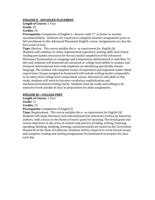## **ENGLISH Il - ADVANCED PLACEMENT**

**Length of Course:** 1 Year **Grade:** 10

## **Credits:** 10

**Prerequisite:** Completion of English I—Honors with "C" or better or teacher recommendation. Students are required to complete summer assignments prior to fall enrollment in this Advanced Placement English course. Assignments are due the first week of class.

**Type:** Elective. *This course satisfies the a—g requirement for English (b)* Students will continue to refine sophisticated expository writing skills and critical reading perception necessary for the successful completion of the Advanced Placement Examination in Language and Composition administered in mid-May. To this end, students will demonstrate advanced or college level ability to analyze and interpret informational texts with emphasis on identifying specifically chosen language. The student will complete essays of exposition and argument under timed supervision. Essays assigned as homework will include writing modes comparable to an entry-level college level composition course. Essential as sub-skills to this study, students will work to increase vocabulary sophistication and mechanical/technical writing clarity. Students must be ready and willing to do extensive work outside of class in preparation for daily assignments.

## **ENGLISH Ill—COLLEGE PREP**

**Length of Course**: 1 Year

**Grade:** 11

**Credits:** 10

**Prerequisite:** Completion of English II

**Type:** Requirement. *This course satisfies the a—g requirement for English (b)* Students will study literature and informational text selections written by American authors, with a focus on the theme of man's quest for meaning. The broad goals and course objectives in the areas of content and process (reading, writing, listening, speaking, thinking, studying, learning, social/personal) are based on the Curriculum Standards of the State of California. Students will be required to write formal essays and complete reading and writing assignments for homework to prepare for class each day.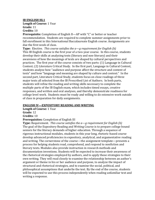## **IB ENGLISH HL1**

**Length of Course:** 1 Year **Grade:** 11

## **Credits:** 10

**Prerequisite:** Completion of English II—AP with "C" or better or teacher recommendation. Students are required to complete summer assignments prior to fall enrollment in this International Baccalaureate English course. Assignments are due the first week of class.

**Type:** Elective. *This course satisfies the a—g requirement for English (b)* This IB English course is the first year of a two-year course. In this course, students develop their skills at analyzing texts (literary and non-literary) and their awareness of how the meanings of texts are shaped by cultural perspectives and practices. The first year of the course consists of two parts: (1) Language in Cultural Context; (2) Literature Critical Study. In the first part, Language in Cultural Context, students analyze how "audience and purpose affect the structure and content of texts" and how "language and meaning are shaped by culture and context." In the second part, Literature Critical Study, students focus on close readings of three major texts all selected from the IB Prescribed List of Authors. In both parts, students will refine the reading and writing skills necessary to complete the multiple parts of the IB English exam, which includes timed essays, creative responses, and written and oral analyses, and thereby demonstrate readiness for college level work. Students must be ready and willing to do extensive work outside of class in preparation for daily assignments.

#### **ENGLISH IV—EXPOSITORY READING AND WRITING**

**Length of Course:** 1 Year **Grade:** 12 **Credits:** 10

**Prerequisites:** Completion of English III

**Type:** Requirement. *This course satisfies the a—g requirement for English (b)* The goal of the Expository Reading and Writing Course is to prepare college bound seniors for the literacy demands of higher education. Through a sequence of rigorous instructional modules, students in this year long, rhetoric-based course develop advanced proficiencies in expository, analytical, and argumentative reading and writing. The cornerstone of the course—the assignment template—presents a process for helping students read, comprehend, and respond to nonfiction and literary texts. Modules also provide instruction in research methods and documentation inventions. Students will be expected to increase their awareness of the rhetorical strategies employed by authors, and to apply those strategies to their own writing. They will read closely to examine the relationship between an author's argument or theme in his or her audience and purpose, to analyze the impact of structural and rhetorical strategies, and to examine the social, political, and philosophical assumptions that underlie the text. By the end of the course, students will be expected to use this process independently when reading unfamiliar text and writing a response.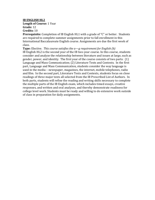## **IB ENGLISH HL2**

## **Length of Course:** 1 Year **Grade:** 12

## **Credits:** 10

**Prerequisite:** Completion of IB English HL1 with a grade of "C" or better. Students are required to complete summer assignments prior to fall enrollment in this International Baccalaureate English course. Assignments are due the first week of class.

**Type:** Elective. *This course satisfies the a—g requirement for English (b)* IB English HL2 is the second year of the IB two-year course. In this course, students consider and analyze the relationship between literature and issues at large, such as gender, power, and identity. The first year of the course consists of two parts: (1) Language and Mass Communication; (2) Literature Texts and Contexts. In the first part, Language and Mass Communication, students consider the way language is used in the media – newspaper, magazines, the internet, mobile telephones, radio and film. In the second part, Literature Texts and Contexts, students focus on close readings of three major texts all selected from the IB Prescribed List of Authors. In both parts, students will refine the reading and writing skills necessary to complete the multiple parts of the IB English exam, which includes timed essays, creative responses, and written and oral analyses, and thereby demonstrate readiness for college level work. Students must be ready and willing to do extensive work outside of class in preparation for daily assignments.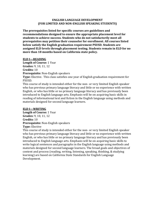## **ENGLISH LANGUAGE DEVELOPMENT (FOR LIMITED AND NON-ENGLISH SPEAKING STUDENTS)**

**The prerequisites listed for specific courses are guidelines and recommendations designed to ensure the appropriate placement level for students to achieve success. Students who do not satisfactorily meet all prerequisites may petition their counselor for enrollment. All courses listed below satisfy the English graduation requirement PSUSD. Students are assigned ELD levels through placement testing. Students remain in ELD for no more than 18 months based on California state policy.**

## **ELD I—READING**

**Length of Course:** 1 Year **Grades:** 9, 10, 11, 12 **Credits:** 10 **Prerequisite:** Non-English speakers

**Type:** Elective. This class satisfies one year of English graduation requirement for PSUSD.

This course of study is intended either for the non- or very limited English speaker who has previous primary language literacy and little or no experience with written English, or who has little or no primary language literacy and has previously been introduced to English language arts. Emphasis will be on acquiring basic skills in reading of informational text and fiction in the English language using methods and materials designed for second language learners.

## **ELD I—WRITING**

**Length of Course:** 1 Year **Grades:** 9, 10, 11, 12 **Credits:** 10 **Prerequisite:** Non-English speakers **Type:** Elective

This course of study is intended either for the non- or very limited English speaker who has previous primary language literacy and little or no experience with written English, or who has little or no primary language literacy and has previously been introduced to English language arts. Emphasis will be on acquiring basic skills to write logical sentences and paragraphs in the English language using methods and materials designed for second language learners. The broad goals and objectives of content and process (reading, writing, listening, speaking, thinking, & studying learning) are based on California State Standards for English Language Development.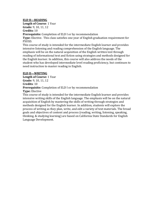## **ELD II—READING**

**Length of Course**: 1 Year **Grade:** 9, 10, 11, 12

# **Credits:** 10

**Prerequisite:** Completion of ELD I or by recommendation

**Type:** Elective. This class satisfies one year of English graduation requirement for PSUSD.

This course of study is intended for the intermediate English learner and provides intensive listening and reading comprehension of the English language. The emphasis will be on the natural acquisition of the English written text through reading of informational text and fiction using strategies and methods designed for the English learner. In addition, this course will also address the needs of the student who has developed intermediate level reading proficiency, but continues to need instruction to master reading in English.

## **ELD II—WRITING**

**Length of Course:** 1 Year **Grade:** 9, 10, 11, 12 **Credits**: 10 **Prerequisite:** Completion of ELD I or by recommendation **Type:** Elective

This course of study is intended for the intermediate English learner and provides intensive writing skills of the English language. The emphasis will be on the natural acquisition of English by mastering the skills of writing through strategies and methods designed for the English learner. In addition, students will explore the process of writing as they plan, write, and edit a variety of text materials. The broad goals and objectives of content and process (reading, writing, listening, speaking, thinking, & studying learning) are based on California State Standards for English Language Development.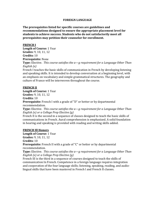## **FOREIGN LANGUAGE**

**The prerequisites listed for specific courses are guidelines and recommendations designed to ensure the appropriate placement level for students to achieve success. Students who do not satisfactorily meet all prerequisites may petition their counselor for enrollment.**

## **FRENCH I**

**Length of Course:** 1 Year **Grades:** 9, 10, 11, 12 **Credits:** 10 **Prerequisite:** None **Type:** Elective. *This course satisfies the a—g requirement for a Language Other Than English (e)*  French I teaches the basic skills of communication in French by developing listening

and speaking skills. It is intended to develop conversation at a beginning level, with an emphasis on vocabulary and simple grammatical structures. The geography and culture of France will be interwoven throughout the course.

## **FRENCH II**

**Length of Course:** 1 Year **Grades:** 9, 10, 11, 12

**Credits:** 10

**Prerequisite:** French I with a grade of "D" or better or by departmental recommendation.

**Type:** Elective. *This course satisfies the a—g requirement for a Language Other Than English (e) or a College Prep Elective (g)*

French II is the second in a sequence of classes designed to teach the basic skills of communications in French. Aural comprehension is emphasized. A solid foundation in hearing and speaking is provided with reading and writing skills added.

## **FRENCH Ill Honors**

**Length of Course:** 1 Year **Grades:** 9, 10, 11, 12

**Credits:** 10

**Prerequisite:** French II with a grade of "C" or better or by departmental recommendation.

**Type:** Elective. *This course satisfies the a—g requirement for a Language Other Than English (e) or a College Prep Elective (g)*

French III is the third in a sequence of courses designed to teach the skills of communication In French. Competence in a foreign language requires integration and cooperation of the four language skills; listening, speaking, reading, and audiolingual skills that have been mastered in French l and French II classes.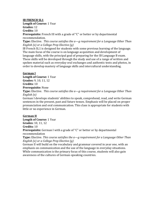## **IB FRENCH SL1**

**Length of Course:** 1 Year

**Grades:** 12

**Credits:** 10

**Prerequisite:** French III with a grade of "C" or better or by departmental recommendation.

**Type:** Elective. *This course satisfies the a—g requirement for a Language Other Than English (e) or a College Prep Elective (g)*

IB French SL1 is designed for students with some previous learning of the language. The main focus of the course is on language acquisition and development of language skills, with the principal goal of preparing for the IB Language B exam. These skills will be developed through the study and use of a range of written and spoken material such as everyday oral exchanges and authentic texts and photos, in order to develop mastery of language skills and intercultural understanding.

## **German I**

**Length of Course:** 1 Year **Grades:** 9, 10, 11, 12 **Credits:** 10 **Prerequisite:** None **Type:** Elective. *This course satisfies the a—g requirement for a Language Other Than English (e)*

German I develops students' abilities to speak, comprehend, read, and write German sentences in the present, past and future tenses. Emphasis will be placed on proper pronunciation and oral communication. This class is appropriate for students with little or no experience in German.

## **German II**

**Length of Course:** 1 Year **Grades:** 10, 11, 12 **Credits:** 10 **Prerequisite:** German I with a grade of "C" or better or by departmental recommendation

**Type:** Elective. *This course satisfies the a—g requirement for a Language Other Than English (e) or a College Prep Elective (g)*

German II will build on the vocabulary and grammar covered in year one, with an emphasis on communication and the use of the language in everyday situations. While communication is the primary focus of this course, students will also gain awareness of the cultures of German-speaking countries.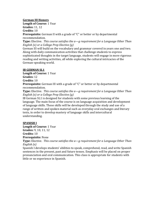## **German III Honors**

**Length of Course:** 1 Year **Grades:** 11, 12

**Credits:** 10

**Prerequisite:** German II with a grade of "C" or better or by departmental recommendation.

**Type:** Elective. *This course satisfies the a—g requirement for a Language Other Than English (e) or a College Prep Elective (g)*

German III will build on the vocabulary and grammar covered in years one and two. Along with daily communication activities that challenge students to express sophisticated thoughts in the target language, students will engage in more rigorous reading and writing activities, all while exploring the cultural intricacies of the German-speaking world.

## **IB GERMAN SL1**

**Length of Course:** 1 Year **Grades:** 12 **Credits:** 10

**Prerequisite:** German III with a grade of "C" or better or by departmental recommendation.

**Type:** Elective. *This course satisfies the a—g requirement for a Language Other Than English (e) or a College Prep Elective (g)*

IB German SL1 is designed for students with some previous learning of the language. The main focus of the course is on language acquisition and development of language skills. These skills will be developed through the study and use of a range of written and spoken material such as everyday oral exchanges and literary texts, in order to develop mastery of language skills and intercultural understanding.

## **SPANISH I**

**Length of Course:** 1 Year **Grades:** 9, 10, 11, 12 **Credits:** 10 **Prerequisite:** None

**Type:** Elective. *This course satisfies the a—g requirement for a Language Other Than English (e)*

Spanish I develops students' abilities to speak, comprehend, read, and write Spanish sentences in the present, past and future tenses. Emphasis will be placed on proper pronunciation and oral communication. This class is appropriate for students with little or no experience in Spanish.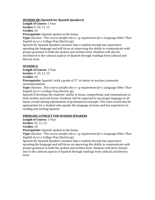## **SPANISH IIR (Spanish for Spanish Speakers)**

**Length of Course:** 1 Year

**Grades:** 9, 10, 11, 12

**Credits:** 10

**Prerequisite:** Spanish spoken in the home.

**Type:** Elective. *This course satisfies the a—g requirement for a Language Other Than English (e) or a College Prep Elective (g)*

Spanish for Spanish Speakers assumes that a student already has experience speaking the language and will focus on improving the ability to communicate with proper grammar in both the spoken and written form. Students will also be introduced to the cultural aspects of Spanish through readings from cultural and literary texts.

## **SPANISH II**

**Length of Course:** 1 Year **Grades:** 9, 10, 11, 12

**Credits:** 10

**Prerequisite:** Spanish I with a grade of "C" or better or teacher/counselor recommendation

**Type:** Elective. *This course satisfies the a—g requirement for a Language Other Than English (e) or a College Prep Elective (g)*

Spanish II develops the students' ability to listen, comprehend, and communicate in both written and oral forms. Students will be expected to use target language at all times, except during explanations of grammatical concepts. This class would also be appropriate for a student who speaks the language at home and has experience in reading and writing Spanish.

## **EMERGING LITERACY FOR SPANISH SPEAKERS**

**Length of Course:** 1 Year **Grades:** 10, 11, 12

**Credits:** 10

**Prerequisite:** Spanish spoken in the home.

**Type:** Elective. *This course satisfies the a—g requirement for a Language Other Than English (e) or a College Prep Elective (g)*

Spanish for Spanish Speakers assumes that a student already has experience speaking the language and will focus on improving the ability to communicate with proper grammar in both the spoken and written form. Students will delve deeper into to the cultural aspects of Spanish through readings from cultural and literary texts.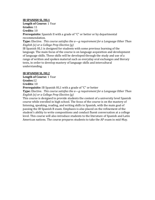## **IB SPANISH SL/HL1**

**Length of Course:** 1 Year

**Grades:** 11

**Credits:** 10

**Prerequisite:** Spanish II with a grade of "C" or better or by departmental recommendation.

**Type:** Elective. *This course satisfies the a—g requirement for a Language Other Than English (e) or a College Prep Elective (g)*

IB Spanish HL1 is designed for students with some previous learning of the language. The main focus of the course is on language acquisition and development of language skills. These skills will be developed through the study and use of a range of written and spoken material such as everyday oral exchanges and literary texts, in order to develop mastery of language skills and intercultural understanding.

## **IB SPANISH SL/HL2**

**Length of Course:** 1 Year

**Grades:**12

**Credits:** 10

**Prerequisite:** IB Spanish HL1 with a grade of "C" or better

**Type:** Elective. *This course satisfies the a—g requirement for a Language Other Than English (e) or a College Prep Elective (g)*

This course is designed to provide students the content of a university level Spanish course while enrolled in high school. The focus of the course is on the mastery of listening, speaking, reading, and writing skills in Spanish, with the main goal of passing the IB Spanish B exam. Emphasis is also placed on the refinement of the student's ability to write compositions and conduct fluent conversation at a college level. This course will also introduce students to the literature of Spanish and Latin American nations. The course prepares students to take the AP exam in mid-May.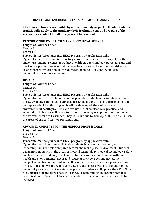## **HEALTH AND ENVIRONMENTAL ACADEMY OF LEARNING—HEAL**

**All classes below are accessible by application only as part of HEAL. Students traditionally apply to the academy their freshman year and are part of the academy as a cohort for all four years of high school.**

## **INTRODUCTION TO HEALTH & ENVIRONMENTAL SCIENCE**

**Length of Course:** 1 Year **Grade:** 9 **Credits:** 10

**Prerequisite:** Acceptance into HEAL program, by application only.

**Type:** Elective. This is an introductory course that covers the history of health care and environmental science; introduces health-care terminology, personal traits and health-care professionalism, and includes health care and environmental-health science career exploration. It introduces students to 21st Century skills in communication and organization.

## **HEAL 10**

**Length of Course:** 1 Year

**Grade:** 10

**Credits:** 10

**Prerequisite:** Acceptance into HEAL program, by application only.

**Type:** Elective. This sophomore course provides students with an introduction to the study of environmental health science. Explanations of scientific principles and concepts and critical thinking skills will be developed; they will analyze environmental health problems and evaluate what solutions are practical and economical. This class will reveal to students the many occupations within the field of environmental health science. They will continue to develop 21st Century Skills in the areas of oral and written presentations.

## **ADVANCED CONCEPTS FOR THE MEDICAL PROFESSIONAL**

**Length of Course:** 1 Year

**Credits:** 10

**Grade:** 11

**Prerequisite:** Acceptance into HEAL program, by application only.

**Type:** Elective. The course will train students in academic, personal, and leadership skills to better prepare them for the work-place environment. Students will gain competency in the areas of medical terminology, medical technology, safety and legal aspects, and body mechanics. Students will become familiar with the health and environmental needs and issues of their own community. At the completion of this course students will have participated in a work-place learning project (job shadow) and will have created relationships with professionals in the community as a result of the extensive projects. Students will update their CPR/First Aid Certification and participate in Teen CERT (community emergency response team) training. HOSA activities such as leadership and community service will be included.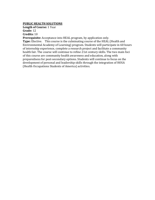## **PUBLIC HEALTH SOLUTIONS**

**Length of Course:** 1 Year **Grade:** 12 **Credits:** 10

**Prerequisite:** Acceptance into HEAL program, by application only.

**Type:** Elective. This course is the culminating course of the HEAL (Health and Environmental Academy of Learning) program. Students will participate in 60 hours of internship experience, complete a research project and facilitate a community health fair. The course will continue to refine 21st century skills. The two main foci of this course are community health awareness and education, along with preparedness for post-secondary options. Students will continue to focus on the development of personal and leadership skills through the integration of HOSA (Health Occupations Students of America) activities.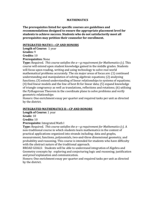#### **MATHEMATICS**

**The prerequisites listed for specific courses are guidelines and recommendations designed to ensure the appropriate placement level for students to achieve success. Students who do not satisfactorily meet all prerequisites may petition their counselor for enrollment.**

#### **INTEGRATED MATH I—CP AND HONORS**

**Length of Course:** 1 year **Grades:** 9 **Credits:** 10

**Prerequisites:** None

**Type:** Required. *This course satisfies the a—g requirement for Mathematics (c).* This course will extend upon student knowledge gained in the middle grades. Students will focus upon reading, writing and using technology to solve real world mathematical problems accurately. The six major areas of focus are: (1) continued understanding and manipulation of solving algebraic equations; (2) analyzing functions; (3) extend understanding of linear relationships to systems of equations; (4) find linear models and the line of best fit for linear data; (5) expand knowledge of triangle congruency as well as translations, reflections and rotations; (6) utilizing the Pythagorean Theorem in the coordinate plane to solve problems and verify geometric relationships

Honors: One enrichment essay per quarter and required tasks per unit as directed by the district.

## **INTEGRATED MATHEMATICS II—CP AND HONORS**

**Length of Course:** 1 year

**Grade:** 10

**Credits:** 10

**Prerequisite:** Integrated Math I

**Type:** Required. *This course satisfies the a—g requirement for Mathematics (c).* A non-traditional course in which students learn mathematics in the context of practical applications organized into strands including: data and graphs, measurement, functions, polynomials, two-and-three dimensional geometry, and probability and reasoning. This course is intended for students who have difficulty with the abstract nature of the traditional approach.

BROAD GOALS: Students will be able to understand integration of Algebra and Geometry concepts by: exploring and conjecturing logic and reasoning; justification and proof explanation and communication.

Honors: One enrichment essay per quarter and required tasks per unit as directed by the district.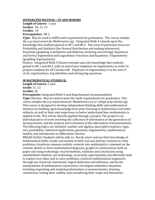## **INTEGRATED MATH III—CP AND HONORS**

**Length of Course:** 1 year **Grades:** 10, 11, 12 **Credits:** 10 **Prerequisites:** IM 2

**Type:** May be used to fulfill math requirement for graduation. *This course satisfies the a-g requirement for Mathematics (g)*. Integrated Math 3 extends upon the knowledge that students gained in IM 1 and IM 2. The areas of particular focus are: Probability and Statistics (the Normal Distribution and making inferences); Functions (graphing, translations and dilations, factoring and solving); Sequences and Series; Exponential and Logarithmic Functions and Equations; Trigonometry (graphing trig functions).

Honors: Integrated Math 3 Honors extends upon the knowledge that students gained in IM 1 and IM 2, with an end of year emphasis on trigonometry in order to prepare students for AP Calculus AB. Emphasis in trigonometry is in the unit of circle, trig functions, trig identities and solving trig equations.

## **IB MATHEMATICAL STUDIES SL**

**Length of Course:** 1 year

**Grade:** 11, 12

**Credits:** 10

**Prerequisite:** Integrated Math II and departmental recommendation

**Type:** Elective. May be used to meet the math requirements for graduation. *This course satisfies the a-g requirement for Mathematics (c) or college prep elective (g).* This course is designed to develop independent thinking skills and mathematical intuition by building upon knowledge from prior learning in mathematics and other subjects, as well as their own experience to better understand how mathematics is applied in life. This will be directly applied through a project. The project is an individual piece of work involving the collection of information or the generation of measurements, and the analysis and evaluation of the information of measurements. The following topics are included: number and algebra, descriptive statistics, logic, sets, probability, statistical applications, geometry, trigonometry, mathematical models, and introduction to differential calculus.

BROAD GOALS: Students will be able to: Recall, select and use their knowledge of mathematical skills, results and models in both real and abstract contexts to solve problems; transform common realistic contexts into mathematics; comment on the context; sketch or draw mathematical diagrams, graphs or constructions both on paper and using technology; record methods, solutions and conclusions using standardized notation; use technology, accurately, appropriately and efficiently both to explore new ideas and to solve problems; construct mathematical arguments through use of precise statements, logical deduction and inference, and by the manipulation of mathematical expressions; investigate unfamiliar situations involving organizing and analyzing information or measurements, drawing conclusions, testing their validity, and considering their scope and limitations.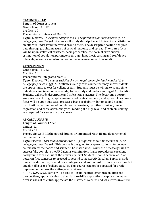## **STATISTICS—CP**

**Length of Course:** 1 year **Grade level:** 11, 12 **Credits:** 10 **Prerequisite:** Integrated Math 3

**Type:** Elective. *This course satisfies the a–g requirement for Mathematics (c) or college prep elective (g).* Students will study descriptive and inferential statistics in an effort to understand the world around them. The descriptive portion analyzes data through graphs, measures of central tendency and spread. The course focus will be upon statistical practices, basic probability, the normal distribution, estimation of population parameters through hypothesis testing and confidence intervals, as well as an introduction to linear regression and correlation.

## **AP STATISTICS**

**Grade level:** 11, 12 **Credits:** 10 **Prerequisite:** Integrated Math 3

**Type:** Elective. *This course satisfies the a–g requirement for Mathematics (c) or college prep elective (g).* AP Statistics is a rigorous course that may allow students the opportunity to test for college credit. Students must be willing to spend time outside of class (even on weekends) to the study and understanding of AP Statistics. Students will study descriptive and inferential statistics. The descriptive portion analyzes data through graphs, measures of central tendency and spread. The course focus will be upon statistical practices, basic probability, binomial and normal distributions, estimation of population parameters, hypothesis testing, linear regression and correlation. Analytical reading at a high level and problem solving are required for success in this course.

## **AP CALCULUS A/B**

**Length of Course:** 1 Year

**Grade:** 12

**Credits:** 10

**Prerequisite:** IB Mathematical Studies or Integrated Math III and departmental recommendation.

**Type:** Elective. *This course satisfies the a—g requirement for Mathematics (c) or college prep elective (g).* This course is designed to prepare students for college courses in mathematics and science. The material will cover the necessary skills to successfully complete the AP Calculus examination. It also provides an excellent background for Calculus at the university level. Students should achieve a "C" or better in first semester to proceed to second semester AP Calculus. Topics include limits, the derivative, related rates, integrals, and volumes of revolution. Calculus AB equals half a year of college calculus. This course can not be repeated for grade improvement unless the entire year is retaken.

BROAD GOALS: Students will be able to: examine problems through different perspectives; apply calculus to abundant real-life applications; explore the many diverse uses of calculus; appreciate the history of calculus and why it was invented.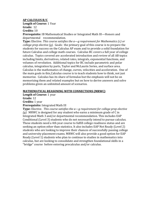## **AP CALCULUS B/C**

**Length of Course:** 1 Year **Grade:** 12

## **Credits:** 10

**Prerequisite:** IB Mathematical Studies or Integrated Math III—Honors and departmental recommendation.

**Type:** Elective. *This course satisfies the a—g requirement for Mathematics (c) or college prep elective (g).* Goals: the primary goal of this course is to prepare the students for success on the Calculus AP exam and to provide a solid foundation for future Calculus and college math courses. Calculus BC covers a full year of college calculus. Topics covered are accelerated introduction and review of all AB topics including limits, derivatives, related rates, integrals, exponential functions, and volumes of revolution. Additional topics for BC include parametric and polar calculus, integration by parts, Taylor and McLaurin Series, and surface area. Calculus is the mathematics of change, curves, velocities and acceleration. One of the main goals in this Calculus course is to teach students how to think, not just memorize. Calculus has its share of formulas but the emphasis will not be on memorizing them and related examples but on how to derive answers and solve problems given an unlimited amount of scenarios.

## **MATHEMATICAL REASONING WITH CONNECTIONS (MRWC)**

**Length of Course:** 1 year

**Grade:** 12

**Credits:** 1 year

**Prerequisite:** Integrated Math III

**Type:** Elective. *This course satisfies the a—g requirement for college prep elective (g).* MRWC is designed for any student who earns a minimum grade of C in Integrated Math 3 and/or departmental recommendation. This includes EAP Conditional (Level 3) students who do not necessarily intend to pursue calculus. These students need a 4th year course to fulfill college readiness status and are seeking an option other than statistics. It also includes EAP Not Ready (Level 2) students who are looking to improve their chances of successfully passing college and university placement exams. MRWC will also provide a good option for EAP Ready (Level 1) students who plan to continue to studies in mathematics into calculus, but are looking to consolidate and strengthen foundational skills in a "bridge" course before entering precalculus and/or calculus.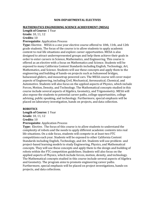#### **NON-DEPARTMENTAL ELECTIVES**

#### **MATHEMATICS ENGINEERING SCIENCE ACHIEVEMENT (MESA)**

**Length of Course:** 1 Year

**Grade:** 10, 11, 12

## **Credits:** 10

**Prerequisite**: Application Process

**Type:** Elective. MESA is a one year elective course offered to 10th, 11th, and 12th grade students. The focus of the course is to allow students to apply academic content to real life situations and explore career opportunities. MESA is also designed to attract underrepresented groups and help them achieve their goals in order to enter careers in Science, Mathematics, and Engineering. This course is offered as an elective with a focus on Mathematics and Science. Students will be exposed to many California Content Standards including English, Technology, Art, Mathematics, and Science. Students will use these concepts and apply them to the engineering and building of hands-on projects such as balsawood bridges, balsawood gliders, and mousetrap powered cars. The MESA course will cover major aspects of Engineering, including Civil, Mechanical, Aeronautical, Chemical, and Automotive. Students will also focus on the applied aspects of Physics, which include Forces, Motion, Density, and Technology. The Mathematical concepts studied in this course include several aspects of Algebra, Geometry, and Trigonometry. MESA will also expose the students to potential career paths, college opportunities, college advising, public speaking, and technology. Furthermore, special emphasis will be placed on laboratory investigation, hands on projects, and data collection.

#### **ROBOTICS**

**Length of Course:** 1 Year **Grade:** 10, 11, 12 **Credits:** 10 **Prerequisite**: Application Process

**Type:** Elective. The focus of this course is to allow students to understand the complexity of robots and the needs to apply different academic contents into real life situations. On a side focus, students will compete in at least two FTC competitions each year. Students will be exposed to other California Content Standards including English, Technology, and Art. Students will use problem- and project-based learning models to study Engineering, Physics, and Mathematical concepts. They will use these concepts and apply them to the design and building of robots within the FTC competition guidelines. Students will also focus on the applied aspects of Physics, which include forces, motion, density, and technology. The Mathematical concepts studied in this course include several aspects of Algebra and Geometry. The program aims to promote engineering career paths. Furthermore, special emphasis will be placed on project investigations, hands-on projects, and data collections.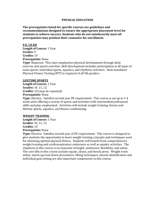#### **PHYSICAL EDUCATION**

**The prerequisites listed for specific courses are guidelines and recommendations designed to ensure the appropriate placement level for students to achieve success. Students who do not satisfactorily meet all prerequisites may petition their counselor for enrollment.**

**P.E. CO ED Length of Course:** 1 Year **Grades:** 9 **Credits:** 10 **Prerequisite:** None **Type:** Required. This class emphasizes physical development through daily exercise and sports activities. Skill development includes participation in all types of team sports, individual sports, aquatics, and rhythmic activities. State mandated Physical Fitness Testing (PFT) is required of all 9th graders.

#### **LIFETIME SPORTS**

**Length of Course:** 1 Year **Grades:** 10, 11, 12 **Credits:** 10 (may be repeated) **Prerequisite:** None

**Type:** Elective. Satisfies second year PE requirement. This course is set up in 3-4 week units offering a variety of sports and activities with intermediate/advanced skills and play emphasized. Activities will include weight training, leisure and lifetime sports, aquatics, and fitness conditioning.

#### **WEIGHT TRAINING**

**Length of Course:** 1 Year **Grades:** 10, 11, 12 **Credits:** 10 **Prerequisite:** None

**Type:** Elective. Satisfies second year of PE requirement. This course is designed to give students the opportunity to learn weight training concepts and techniques used for obtaining optimal physical fitness. Students will benefit from comprehensive weight training and cardiorespiratory endurance as well as aquatic activities. The emphasis in this course is on muscular strength, endurance, flexibility, and safety. The core lifts in this course include squats, cleans, and bench press. Weight room safety, warm-up/cool down procedures, lifting techniques, muscle identification and individual goal setting are also important components in this course.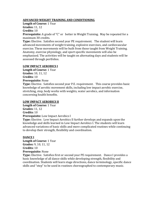## **ADVANCED WEIGHT TRAINING AND CONDITIONING**

**Length of Course:** 1 Year

**Grades:** 11, 12

## **Credits:** 10

**Prerequisite:** A grade of "C" or better in Weight Training. May be repeated for a maximum 30 credits.

**Type:** Elective. Satisfies second year PE requirement. The student will learn advanced movements of weight training, explosive exercises, and cardiovascular exercise. These movements will be built from those taught from Weight Training. Anatomy, exercise physiology, and sport specific movements will also be emphasized. The activities will be taught on alternating days and students will be assessed through portfolios.

## **LOW IMPACT AEROBICS I**

**Length of Course:** 1 Year **Grades:** 10, 11, 12 **Credits:** 10 **Prerequisite:** None

**Type:** Elective. Satisfies second year P.E. requirement. This course provides basic knowledge of aerobic movement skills, including low impact aerobic exercise, stretching, step, body works with weights, water aerobics, and information concerning health benefits.

## **LOW IMPACT AEROBICS II**

**Length of Course:** 1 Year **Grades:** 11, 12 **Credits:** 10 **Prerequisite:** Low Impact Aerobics I **Type:** Elective. Low Impact Aerobics II further develops and expands upon the

knowledge and skills learned in Low Impact Aerobics I. The students will learn advanced variations of basic skills and more complicated routines while continuing to develop their strength, flexibility and coordination.

## **DANCE I**

**Length of Course:** 1 Year **Grades:** 9, 10, 11, 12 **Credits:** 10 **Prerequisite:** None

**Type:** Elective. Satisfies first or second year PE requirement. Dance I provides a basic knowledge of all dance skills while developing strength, flexibility and coordination. Students will learn stage directions, dance terminology, specific dance skills and "step" to be used in routines choreographed to contemporary music.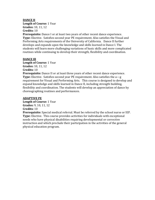## **DANCE II**

**Length of Course:** 1 Year **Grades:** 10, 11, 12 **Credits:** 10

**Prerequisite:** Dance I or at least two years of other recent dance experience. **Type:** Elective. Satisfies second year PE requirement. Also satisfies the Visual and Performing Arts requirements of the University of California. Dance II further develops and expands upon the knowledge and skills learned in Dance I. The students will learn more challenging variations of basic skills and more complicated routines while continuing to develop their strength, flexibility and coordination.

## **DANCE Ill**

**Length of Course:** 1 Year **Grades:** 10, 11, 12 **Credits:** 10

**Prerequisite:** Dance II or at least three years of other recent dance experience. **Type:** Elective. Satisfies second year PE requirement. Also satisfies the a—g requirement for Visual and Performing Arts. This course is designed to develop and expand knowledge and skills learned in Dance II, including strength building, flexibility and coordination. The students will develop an appreciation of dance by choreographing routines and performances.

## **ADAPTIVE PE**

**Length of Course:** 1 Year **Grades:** 9, 10, 11, 12 **Credits:** 10

**Prerequisite:** Special medical referral. Must be referred by the school nurse or lEP. **Type:** Elective. This course provides activities for individuals with exceptional needs who have physical disabilities requiring developmental or corrective instruction and which preclude their participation in the activities of the general physical education program.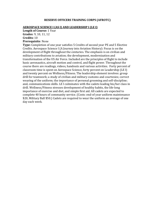#### **RESERVE OFFICERS TRAINING CORPS (AFROTC)**

#### **AEROSPACE SCIENCE I (AS I) AND LEADERSHIP I (LE I)**

**Length of Course:** 1 Year **Grades**: 9, 10, 11, 12 **Credits:** 10

## **Prerequisite**: None

**Type:** Completion of one year satisfies 5 Credits of second year PE and 5 Elective Credits. Aerospace Science I (A Journey into Aviation History): Focus is on the development of flight throughout the centuries. The emphasis is on civilian and military contributions to aviation; the development, modernization and transformation of the US Air Force. Included are the principles of flight to include basic aeronautics, aircraft motion and control, and flight power. Throughout the course there are readings, videos, handouts and various activities. Forty percent of classroom time is spent on Aerospace Science, forty percent on Leadership (LE I) and twenty percent on Wellness/Fitness. The leadership element involves: group drill for teamwork; a study of civilian and military customs and courtesies; correct wearing of the uniform; the importance of personal grooming and self-discipline; and, communications skills. LE I culminates with the cadets leading his/her class in drill. Wellness/Fitness stresses development of healthy habits, the life-long importance of exercise and diet, and simple first aid. All cadets are expected to complete 40 hours of community service. (Costs: end-of year uniform maintenance \$20, Military Ball \$50.) Cadets are required to wear the uniform an average of one day each week.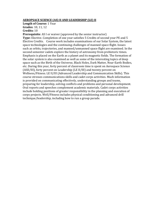## **AEROPSACE SCIENCE (AS) II AND LEADERSHIP (LE) II**

**Length of Course:** 1 Year

**Grades**: 10, 11, 12

**Credits:** 10

**Prerequisite**: AS I or waiver (approved by the senior instructor) **Type:** Elective. Completion of one year satisfies 5 Credits of second year PE and 5 Elective Credits. Course work includes examinations of our Solar System, the latest space technologies and the continuing challenges of manned space flight. Issues such as orbits, trajectories, and manned/unmanned space flight are examined. In the second semester cadets explore the history of astronomy from prehistoric times. Emphasis is placed on the Earth as a planet and its magnetic fields. The formation of the solar system is also examined as well as some of the interesting topics of deep space such as the Birth of the Universe, Black Holes, Dark Matter, Near-Earth Bodies, etc. During this year, forty percent of classroom time is spent on Aerospace Science (ASII/III), forty percent on Leadership (LE II/III) and twenty percent on Wellness/Fitness. LE II/III (Advanced Leadership and Communication Skills). This course stresses communications skills and cadet corps activities. Much information is provided on communicating effectively, understanding groups and teams, preparing for leadership, solving conflicts and problems and personal development. Oral reports and speeches complement academic materials. Cadet corps activities include holding positions of greater responsibility in the planning and execution of corps projects. Well/Fitness includes physical conditioning and advanced drill technique/leadership, including how to run a group parade.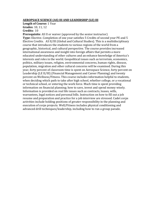## **AEROPSACE SCIENCE (AS) III AND LEADERSHIP (LE) III**

**Length of Course:** 1 Year

**Grades**: 10, 11, 12

**Credits:** 10

**Prerequisite**: AS II or waiver (approved by the senior instructor) **Type:** Elective. Completion of one year satisfies 5 Credits of second year PE and 5 Elective Credits. AS II/III (Global and Cultural Studies). This is a multidisciplinary course that introduces the students to various regions of the world from a geographic, historical, and cultural perspective. The course provides increased international awareness and insight into foreign affairs that permits a more educated understanding of other cultures and an enhance knowledge of America's interests and roles in the world. Geopolitical issues such as terrorism, economics, politics, military issues, religion, environmental concerns, human rights, disease, population, migration and other cultural concerns will be examined. During this year, forty percent of classroom time is spent on Aerospace Science, forty percent on Leadership (LE II/III) (Financial Management and Career Planning) and twenty percent on Wellness/Fitness. This course includes information helpful to students, when deciding which path to take after high school, whether college, or a vocational or technical school, or entering the work force. Much time is spent providing information on financial planning; how to save, invest and spend money wisely. Information is provided on real life issues such as contracts, leases, wills, warrantees, legal notices and personal bills. Instruction on how to fill out a job resume and preparation and practice for a job interview are stressed. Cadet corps activities include holding positions of greater responsibility in the planning and execution of corps projects. Well/Fitness includes physical conditioning and advanced drill techniques/leadership, including how to run a group parade.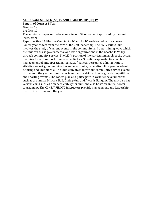## **AEROPSACE SCIENCE (AS) IV AND LEADERSHIP (LE) IV**

**Length of Course:** 1 Year

**Grades**: 12

**Credits**: 10

**Prerequisite:** Superior performance in as ii/iii or waiver (approved by the senior instructor)

Type: Elective. 10 Elective Credits. AS IV and LE IV are blended in this course. Fourth year cadets form the core of the unit leadership. The AS IV curriculum involves the study of current events in the community and determining ways which the unit can assist governmental and civic organizations in the Coachella Valley through community service. The LE IV portion of the curriculum involves the actual planning for and support of selected activities. Specific responsibilities involve management of unit operations, logistics, finances, personnel, administration, athletics, security, communication and electronics, cadet discipline, peer academic tutoring and unit morale. The unit is involved in various community service events throughout the year and competes in numerous drill and color guard competitions and sporting events . The cadets plan and participate in various social functions such as the annual Military Ball, Dining-Out, and Awards Banquet. The unit also has various clubs such as a an aero club, cyber club, and also hosts an annual soccer tournament. The CCHS/AFJROTC instructors provide management and leadership instruction throughout the year.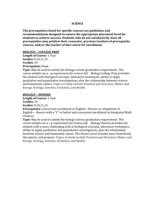## **SCIENCE**

**The prerequisites listed for specific courses are guidelines and recommendations designed to ensure the appropriate placement level for students to achieve success. Students who do not satisfactorily meet all prerequisites may petition their counselor, previous teachers of prerequisite courses, and/or the teacher of this course for enrollment.**

#### **BIOLOGY—COLLEGE PREP**

**Length of Course:** 1 Year **Grades:** 9,10,11,12 **Credits:** 10 **Prerequisite:** None

**Type:** May be used to satisfy the biology science graduation requirement. *This course satisfies an a—g requirement for science (d).* Biology College Prep provides the student with biological concepts, laboratory techniques, ability to apply qualitative and quantitative investigations, plus the relationship between science and humanistic values. Topics of study include Function and Structure, Matter and Energy, Ecology, Genetics, Evolution, and Health.

## **BIOLOGY—HONORS**

**Length of Course:** 1 Year

**Credits:** 10

**Grades:** 9,10,11,12

**Prerequisite:** Concurrent enrollment in English—Honors or completion of English— Honors with a "C" or better and concurrent enrollment in Integrated Math I Honors.

**Type:** May be used to satisfy the biology science graduation requirement. *This course satisfies an a—g requirement for science (d).* Biology Honors provides the student with a more challenging look at biological concepts, laboratory techniques, ability to apply qualitative and quantitative investigations, plus the relationship between science and humanistic values. The Honors level includes more homework, lab reports, and projects. Topics of study include Function and Structure, Matter and Energy, Ecology, Genetics, Evolution, and Health.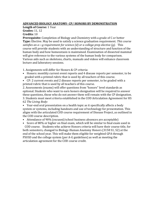## **ADVANCED BIOLOGY ANATOMY- CP/ HONORS BY DEMONSTRATION**

**Length of Course:** 1 Year **Grades:** 11, 12

**Credits:** 10

**Prerequisite:** Completion of Biology and Chemistry with a grade of C or better **Type:** Elective. May be used to satisfy a science graduation requirement. *This course satisfies an a—g requirement for science (d) or a college prep elective (g).* This course will provide students with an understanding of structure and function of the human body and how homeostasis is maintained. Examination of dissected mammal will give reference to the various systems of the human body for comparison. Various aids such as skeletons, charts, manuals and videos will enhance classroom lecture and laboratory sessions.

1. Assignments will differ for Honors & CP criteria:

- Honors: monthly current event reports and 4 disease reports per semester, to be graded with a printed rubric that is used by all teachers of this course.
- CP: 2 current events and 2 disease reports per semester, to be graded with a printed rubric that is used by all teachers of this course.

2. Assessments (exams) will offer questions from "honors" level standards as optional. Students who want to earn honors designation will be required to answer these questions, those who do not answer them will remain with the CP designation. 3. Students must meet criteria established in the COD Articulation Agreement for HS 62 *The Living Body*:

• Year-end oral presentation on a health topic as it specifically affects a body system or systems, including handouts and use of technology for presentation. This aligns with the articulated COD course requirement of Disease Project, as outlined in the COD course description.

• Attendance of 90% (excused/school business absences are acceptable)

• Score of 80% or higher on final exam, which will be similar to final exam used in

COD course. Students who achieve Honors criteria will have their course title, for both semesters, changed to Biology-Human Anatomy Honors (3158 S1, S2) at the end of the school year. This will make them eligible for weighted GPA through PSUSD and the college system (per A-G guidelines) as well as meeting the articulation agreement for the COD course credit.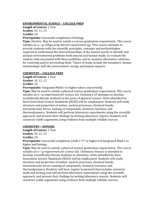## **ENVIRONMENTAL SCIENCE – COLLEGE PREP**

**Length of Course:** 1 Year **Grades:** 10, 11, 12 **Credits:** 10

**Prerequisite:** Successful completion of biology

**Type:** Elective. May be used to satisfy a science graduation requirement. *This course satisfies an a—g college prep elective requirement (g).* This course attempts to provide students with the scientific principles, concepts and methodologies required to understand the interrelationships of the natural world, to identify and analyze environmental problems both natural and human-made, to evaluate the relative risks associated with these problems, and to examine alternative solutions for resolving and/or preventing them. Topics of study include the biosphere, human relationships with the environment, energy and human impacts.

## **CHEMISTRY—COLLEGE PREP**

**Length of Course:** 1 Year **Grades:** 10, 11, 12 **Credits:** 10

**Prerequisite:** Integrated Math I or higher taken concurrently.

**Type:** May be used to satisfy a physical science graduation requirement. *This course satisfies an a—g requirement for science (d).* Chemistry CP attempts to develop scientifically literate students in the areas of physical science. Units identified by Next Generation Science Standards (NGSS) will be emphasized. Students will study structure and properties of matter, nuclear processes, chemical bonds, intermolecular forces, naming of compounds, chemical reactions, and thermodynamics. Students will perform laboratory experiments using the scientific approach, and present their findings by writing laboratory reports. Students will construct viable arguments using evidence from multiple reliable sources.

## **CHEMISTRY—HONORS**

**Length of Course:** 1 Year

**Grades:** 10, 11, 12

**Credits:** 10

**Prerequisite:** Successful completion (with a "C" or higher) of Integrated Math I or higher and biology.

**Type:** May be used to satisfy a physical science graduation requirement. *This course satisfies an a—g requirement for science (d).* Chemistry Honors is intended to develop scientifically literate students in chemistry. Units identified by Next Generation Science Standards (NGSS) will be emphasized. Students will study structure and properties of matter, nuclear processes, chemical bonds, intermolecular forces, naming of compounds, chemical reactions, and thermodynamics. Students will have regular homework that includes extensive math and writing, and will perform laboratory experiments using the scientific approach, and present their findings by writing laboratory reports. Students will construct viable arguments using evidence from multiple reliable sources.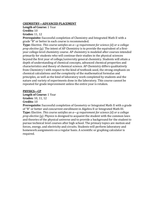## **CHEMISTRY—ADVANCED PLACEMENT**

**Length of Course:** 1 Year **Credits:** 10 **Grades:** 11, 12

**Prerequisite:** Successful completion of Chemistry and Integrated Math II with a grade "B" or better in each course is recommended.

**Type:** Elective. *This course satisfies an a—g requirement for science (d) or a college prep elective (g).* The intent of AP Chemistry is to provide the equivalent of a firstyear college-level chemistry course. AP chemistry is modeled after courses intended primarily for students who will continue their studies in the physical sciences beyond the first year of college/university general chemistry. Students will attain a depth of understanding of chemical concepts, advanced chemical properties and characteristics and theory of chemical science. AP Chemistry differs qualitatively from Chemistry I with respect to the kind of textbook used, the strong emphasis on chemical calculations and the complexity of the mathematical formulas and principles, as well as the kind of laboratory work completed by students and the nature and variety of experiments done in the laboratory. This course cannot be repeated for grade improvement unless the entire year is retaken.

## **PHYSICS—CP**

**Length of Course:** 1 Year **Grades:** 10, 11, 12 **Credits:** 10

**Prerequisite:** Successful completion of Geometry or Integrated Math II with a grade of "B" or better and concurrent enrollment in Algebra II or Integrated Math III. **Type:** Elective. *This course satisfies an a—g requirement for science (d) or a college prep elective (g).* Physics is designed to acquaint the student with the common laws and theories of the physical universe and to provide a background for the student to pursue technical level courses after high school. The primary topics are motion and forces, energy, and electricity and circuits. Students will perform laboratory and homework assignments on a regular basis. A scientific or graphing calculator is required.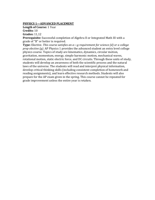## **PHYSICS 1—ADVANCED PLACEMENT**

**Length of Course:** 1 Year **Credits:** 10 **Grades:** 11,12

**Prerequisite:** Successful completion of Algebra II or Integrated Math III with a grade of "B" or better is required.

**Type:** Elective. *This course satisfies an a—g requirement for science (d) or a college prep elective (g).* AP Physics 1 provides the advanced student an entry level college physics course. Topics of study are kinematics, dynamics, circular motion, gravitation, momentum, energy, simple harmonic motion, mechanical waves, rotational motion, static electric force, and DC circuits. Through these units of study, students will develop an awareness of both the scientific process and the natural laws of the universe. The students will read and interpret physical information, develop critical thinking skills (including consistent completion of homework and reading assignments), and learn effective research methods. Students will also prepare for the AP exam given in the spring. This course cannot be repeated for grade improvement unless the entire year is retaken.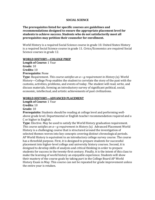## **SOCIAL SCIENCE**

**The prerequisites listed for specific courses are guidelines and recommendations designed to ensure the appropriate placement level for students to achieve success. Students who do not satisfactorily meet all prerequisites may petition their counselor for enrollment.**

World History is a required Social Science course in grade 10. United States History is a required Social Science course in grade 11. Civics/Economics are required Social Science courses in grade 12.

## **WORLD HISTORY—COLLEGE PREP**

**Length of Course:** 1 Year **Grade:** 10 **Credits:** 10 **Prerequisite:** None

**Type**: Requirement. *This course satisfies an a—g requirement in History (a)*. World History—College Prep enables the student to correlate the story of the past with the customs, activities, problems, and events of today. The student will read, write, and discuss materials, forming an introductory survey of significant political, social, economic, intellectual, and artistic achievements of past civilizations.

#### **WORLD HISTORY—ADVANCED PLACEMENT**

**Length of Course:** 1 Year **Credits:** 10

**Grade:** 10

**Prerequisite:** Students should be reading at college level and performing wellabove grade level. Departmental or English teacher recommendation required and a C or higher in English.

**Type**: Elective. May be used to satisfy the World History graduation requirement. *This course satisfies an a—g requirement in History (a).* Advanced Placement World History is a challenging course that is structured around the investigation of selected themes woven into key concepts covering distinct chronological periods. AP World History is equivalent to an introductory college survey course. The course has a threefold purpose. First, it is designed to prepare students for successful placement into higher-level college and university history courses. Second, it is designed to develop skills of analysis and critical thinking in order to prepare students for success in the twenty-first century. Finally, it is the intent of this class to make the learning of world history an enjoyable experience. Students will show their mastery of the course goals by taking part in the College Board AP World History Exam in May. This course can not be repeated for grade improvement unless the entire year is retaken.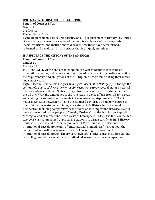## **UNITED STATES HISTORY—COLLEGE PREP**

**Length of Course:** 1 Year **Grade:** 11 **Credits:** 10 **Prerequisite:** None

**Type**: Requirement. This course satisfies an a—g requirement in History (a). United States History focuses on a survey of our country's history with an emphasis on ideals, traditions, and institutions to discover how these have been formed, reformed, and developed into a heritage that is uniquely American.

## **IB ASPECTS OF THE HISTORY OF THE AMERICAS**

**Length of Course:** 1 Year

**Grade:** 11

**Credits:** 10

**PREREQUISITE**: At the end of their sophomore year students must attend an orientation meeting and return a contract signed by a parent or guardian accepting the requirements and obligations of the IB Diploma Programme during their junior and senior years.

**Type:** Elective. *This course satisfies an a—g requirement in History (a)*. Although the content of *Aspects of the History of the Americas* will survey several major historical themes and eras in United States history, three major units will be studied in-depth: the US Civil War, the emergence of the Americas in world affairs from 1880 to 1920, and civil rights and social movements in the western hemisphere after 1945. A major distinction between HOA and the standard 11<sup>th</sup> grade US History course is that HOA requires students to integrate a study of US History into a regional perspective, including comparative case studies of how important historical events were experienced by the people of Canada, Mexico, Cuba, the Dominican Republic, Nicaragua, and other nations in the western hemisphere. HOA is the first course in a two-year curriculum aimed at preparing students to earn a certificate in IB History Route 2 (HL) at the end of their senior year. HOA will cultivate in students the International Baccalaureate aim of "international mindedness." Throughout the course students will engage in activities that encourage exploration of the International Baccalaureate "Theory of Knowledge" (TOK) issues, including validity, reliability, credibility, certainty, and individual as well as cultural perspectives.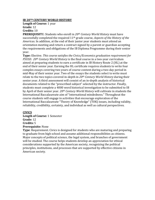## **IB 20TH CENTURY WORLD HISTORY**

**Length of Course:** 1 year **Grade:** 12

## **Credits:** 10

**PREREQUISIT**E: Students who enroll in *20th Century World History* must have successfully completed the required 11th grade course, *Aspects of the History of the Americas*. In addition, at the end of their junior year students must attend an orientation meeting and return a contract signed by a parent or guardian accepting the requirements and obligations of the IB Diploma Programme during their senior year.

**Type:** Elective. *This course satisfies the Civics/Economics graduation requirement for PSUSD. 20th Century World History* is the final course in a two-year curriculum aimed at preparing students to earn a certificate in IB History Route 2 (HL) at the end of their senior year. Earning the HL certificate requires students to write four complex essays covering two years of course content during a two-day period in mid-May of their senior year. Two of the essays the students select to write must relate to the two topics covered in-depth in *20th Century World History* during their senior year. A third assessment will consist of an in-depth analysis of historical documents related to the "prescribed subject" selected by the instructor. Finally, students must complete a 4000 word historical investigation to be submitted to IB by April of their senior year. *20th Century World History* will cultivate in students the International Baccalaureate aim of "international mindedness." Throughout the course students will engage in activities that encourage exploration of the International Baccalaureate "Theory of Knowledge" (TOK) issues, including validity, reliability, credibility, certainty, and individual as well as cultural perspectives.

## **CIVICS**

**Length of Course:** 1 Semester **Grade:** 12 **Credits:** 5 **Prerequisite:** None

**Type**: Requirement. Civics is designed for students who are maturing and preparing to graduate from high school and assume additional responsibilities as citizens. Major concepts of political science, the legal system, and branches of government will be studied. The course helps students develop an appreciation for ethical considerations supported by the American society, recognizing the political principles, institutions, and processes that are supported by effective citizens in American society.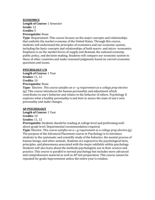## **ECONOMICS**

**Length of Course:** 1 Semester **Grade:** 12 **Credits:** 5 **Prerequisite:** None

**Type**: Requirement. This course focuses on the major concepts and relationships that underlie the market economy of the United States. Through this course, students will understand the principles of economics and our economic system, including the basic concepts and relationships of both macro- and micro- economics. Emphasis is on the market forces of supply and demand, the national economy, public policy, and decision-making. Students will compare our economic system to those of other countries and make reasoned judgments based on current economic questions and issues.

## **PSYCHOLOGY I/II**

**Length of Course:** 1 Year **Grades:** 11, 12 **Credits:** 10 **Prerequisite:** None

**Type:** Elective. *This course satisfies an a—g requirement as a college prep elective (g).* This course introduces the human personality and adjustment which contributes to one's behavior and relates to the behavior of others. Psychology II explores what a healthy personality is and how to assess the state of one's own personality and make changes.

## **AP PSYCHOLOGY**

**Length of Course:** 1 Year **Credits:** 10 **Grades:** 11, 12

**Prerequisite:** Students should be reading at college level and performing wellabove grade level. Departmental recommendation required.

**Type:** Elective. *This course satisfies an a—g requirement as a college prep elective (g).* The purpose of the Advanced Placement course in Psychology is to introduce students to the systematic and scientific study of the behavior, the mental process of human beings, and other animals. Students are exposed to the psychological facts, principles, and phenomena associated with the major subfields within psychology. Students will also learn about the methods psychologists use in their science and practice. This course is parallel to normal psychology but includes more advanced and comprehensive material as well as AP test preparation. This course cannot be repeated for grade improvement unless the entire year is retaken.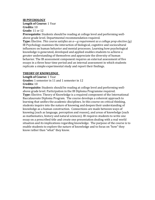## **IB PSYCHOLOGY**

**Length of Course:** 1 Year **Credits:** 10

**Grade:** 11 or 12

**Prerequisite:** Students should be reading at college level and performing wellabove grade level. Departmental recommendation required.

**Type:** Elective. *This course satisfies an a—g requirement as a college prep elective (g).*  IB Psychology examines the interaction of biological, cognitive and sociocultural influences on human behavior and mental processes. Learning how psychological knowledge is generated, developed and applied enables students to achieve a greater understanding of themselves and appreciate the diversity of human behavior. The IB assessment component requires an external assessment of five essays in a three hour time period and an internal assessment in which students replicate a simple experimental study and report their findings.

## **THEORY OF KNOWLEDGE**

**Length of Course:** 1 Year **Grades:** 1 semester in 11 and 1 semester in 12 **Credits:** 10

**Prerequisite:** Students should be reading at college level and performing wellabove grade level. Participation in the IB Diploma Programme required. **Type:** Elective. Theory of Knowledge is a required component of the International Baccalaureate Diploma Program. The course develops a coherent approach to learning that unifies the academic disciplines. In this course on critical thinking, students inquire into the nature of knowing and deepen their understanding of knowledge as a human construction. Connections are made between ways of knowing (such as language, perception and reason), and areas of knowledge (such as mathematics, history and natural sciences). IB requires students to write one essay on a prescribed title and create one presentation dealing with a real world situation and its implications regarding knowledge. The purpose of the course is to enable students to explore the nature of knowledge and to focus on "how" they know rather than "what" they know.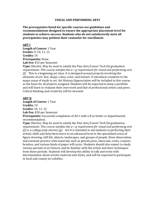#### **VISUAL AND PERFORMING ARTS**

**The prerequisites listed for specific courses are guidelines and recommendations designed to ensure the appropriate placement level for students to achieve success. Students who do not satisfactorily meet all prerequisites may petition their counselor for enrollment.**

#### **ART I**

**Length of Course:** 1 Year **Grades:** 9, 10, 11, 12 **Credits:** 10 **Prerequisite:** None. **Lab Fee:** \$15 per Semester

**Type:** Elective. May be used to satisfy the Fine Arts/Career Tech Ed graduation requirement. *This course satisfies the a—g requirement for visual and performing arts (f).* This is a beginning art class. It is designed around projects involving the elements of art: line, shape, value, color, and texture. It introduces students to the major areas of study in art. Art History/Appreciation will be included in this course as the basis for all projects assigned. Students will be expected to keep a portfolio and will learn to evaluate their own work and that of professional artists and peers. Critical thinking and creativity will be stressed.

## **ART II**

**Length of Course:** 1 Year **Credits:** 10 **Grades:** 10, 11, 12 **Lab Fee:** \$20 per Semester **Prerequisite:** Successful completion of Art I with a B or better or departmental recommendation.

**Type:** Elective. May be used to satisfy the Fine Arts/Career Tech Ed graduation requirement. *This course satisfies the a—g requirement for visual and performing arts (f) or a college prep elective (g).* Art II is intended to aid students in perfecting their artistic skills and help them move to an advanced level in the specialized areas of figure drawing, still life, objects, landscapes, and groups of people. Keen observation and constant practice with materials such as pencils pens, charcoals, conte, crayons, brushes, and various kinds of paper will occur. Students should also expect to study various periods of art history and be familiar with the artists and their techniques from those periods. Students will develop the ability to talk and write with discrimination about artistic material and styles, and will be expected to participate in local and county art exhibits.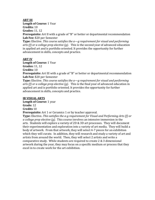## **ART III**

**Length of Course:** 1 Year

**Credits:** 10

**Grades:** 11, 12

**Prerequisite:** Art II with a grade of "B" or better or departmental recommendation **Lab Fee:** \$20 per Semester

**Type:** Elective. *This course satisfies the a—g requirement for visual and performing arts (f) or a college prep elective (g).* This is the second year of advanced education in applied art and is portfolio oriented. It provides the opportunity for further advancement in skills, concepts and practice.

## **ART IV**

**Length of Course:** 1 Year **Grades:** 11, 12 **Credits:** 10

**Prerequisite:** Art III with a grade of "B" or better or departmental recommendation **Lab Fee:** \$20 per Semester

**Type:** Elective. *This course satisfies the a—g requirement for visual and performing arts (f) or a college prep elective (g).* This is the final year of advanced education in applied art and is portfolio oriented. It provides the opportunity for further advancement in skills, concepts and practice.

## **IB VISUAL ARTS**

**Length of Course:** 1 year

**Grade:** 12 **Credits** 10

**Prerequisite:** Art 1 or Ceramics 1 or by teacher approval.

**Type:** Elective**.** *This satisfies the a-g requirement for Visual and Performing Arts (f) or a college prep elective (g).* This course involves an intensive immersion in the arts. Students will explore a variety of 2D & 3D art processes. They will document their experimentation and exploration into a variety of art media. They will build a body of artwork. From that artwork, they will select 4-7 pieces for an exhibition which they will curate. In addition, they will research and study a variety of art and artists from around the world. Then, they will select 2 artists and write a comparative study. While students are required to create 2 & 3 dimensional artwork during the year, they may focus on a specific medium or process that they excel in to create work for the art exhibition.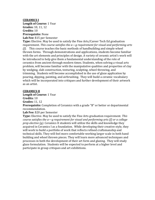## **CERAMICS I**

**Length of Course:** 1 Year **Grades:** 10, 11, 12 **Credits:** 10 **Prerequisite:** None **Lab Fee:** \$15 per Semester

**Type:** Elective. May be used to satisfy the Fine Arts/Career Tech Ed graduation requirement. *This course satisfies the a—g requirement for visual and performing arts (f).* This course teaches the basic methods of handbuilding and simple wheel thrown forms. Through demonstrations and applications, students become familiar with the art elements and principles of design. A variety of ceramic artist's work will be introduced to help give them a fundamental understanding of the role of ceramics from ancient through modern times. Students, when solving a visual arts problem, will become familiar with the manipulative qualities and properties of clay by wedging, slab construction, texturing, sculpting, wheel throwing, and trimming. Students will become accomplished in the use of glaze application by pouring, dipping, painting, and airbrushing. They will build a ceramic vocabulary which will be incorporated into critiques and further development of their artwork as an artist.

## **CERAMICS II**

**Length of Course:** 1 Year

**Credits:** 10

**Grades:** 11, 12

**Prerequisite:** Completion of Ceramics with a grade "B" or better or departmental recommendation.

**Lab Fee:** \$20 per Semester

**Type:** Elective. May be used to satisfy the Fine Arts graduation requirement. *This course satisfies the a—g requirement for visual and performing arts (f) or a college prep elective (g)*. Ceramics II students will utilize the skills and knowledge they acquired in Ceramics I as a foundation. While developing their creative style, they will work to build a portfolio of work that reflects refined craftsmanship and technical skills. They will feel more comfortable working larger scale in both hand building and wheel thrown pieces. They will learn more advanced techniques and processes in both the development of their art form and glazing. They will study glaze formulation. Students will be expected to perform at a higher level and participate in group critiques and art exhibitions.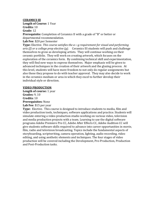## **CERAMICS Ill**

**Length of Course:** 1 Year **Credits:** 10 **Grade:** 12

**Prerequisite:** Completion of Ceramics II with a grade of "B" or better or departmental recommendation.

**Lab Fee**: \$20 per Semester

**Type:** Elective. *This course satisfies the a—g requirement for visual and performing arts (f) or a college prep elective (g).* Ceramics III students will push and challenge themselves to grow as developing artists. They will continue working on their ceramic portfolio. They will work on creating artwork, which focuses on the exploration of the ceramics form. By combining technical skill and experimentation, they will find new ways to express themselves. Major emphasis will be given to advanced techniques in the creation of their artwork and the glazing process. At this level, students will have more freedom to not only do regular assignments but also those they propose to do with teacher approval. They may also decide to work in the ceramics medium or area in which they excel to further develop their individual style or direction.

## **VIDEO PRODUCTION**

**Length of course:** 1 year **Grades:** 9, 10 **Credits:** 10 **Prerequisites:** None **Lab Fee**: \$15 per year

**Type:** Elective. This course is designed to introduce students to media, film and video production tools, techniques, software applications and practice. Students will simulate entering a video production studio working on various video, television and media production projects with a team. Learning to use the digital software programs Adobe Premiere Pro CC, Adobe After Effects CC, Adobe Audition CC will give students software skills required to advance into career opportunities in movie, film, radio and television broadcasting. Topics include the fundamental aspects of storyboarding, scriptwriting, camera operation, lighting, audio recording, video editing, and using aesthetic elements and techniques. The four stages of video production will be covered including the Development, Pre-Production, Production and Post-Production tasks.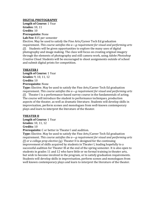## **DIGITAL PHOTOGRAPHY**

**Length of Course:** 1 Year **Grades:** 10, 11 **Credits**: 10 **Prerequisite:** None **Lab Fee:** \$15 per semester

Elective. May be used to satisfy the Fine Arts/Career Tech Ed graduation requirement. *This course satisfies the a—g requirement for visual and performing arts (f)*. Students will be given opportunities to explore the many uses of digital photography and image making. The class will focus on creating original imagery through the elements of photography and still camera work, using *Adobe Photoshop Creative Cloud.* Students will be encouraged to shoot assignments outside of school and submit digital prints for competition.

## **THEATER I**

**Length of Course:** 1 Year **Grades:** 9, 10, 11, 12 **Credits:** 10 **Prerequisite:** None

**Type:** Elective. May be used to satisfy the Fine Arts/Career Tech Ed graduation requirement. *This course satisfies the a—g requirement for visual and performing arts (f).* Theater I is a performance-based survey course in the fundamentals of acting. The course will introduce the student to performance techniques, production aspects of the theater, as well as dramatic literature. Students will develop skills in improvisation, perform scenes and monologues from well-known contemporary plays and learn to interpret the literature of the theater.

## **THEATER II**

**Length of Course:** 1 Year

**Grades:** 10, 11, 12

**Credits:** 10

**Prerequisite:** C or better in Theater l and audition.

**Type:** Elective. May be used to satisfy the Fine Arts/Career Tech Ed graduation requirement. *This course satisfies the a—g requirement for visual and performing arts (f) or a college prep elective (g).* Theater II is designed for the continuing improvement of skills acquired by students in Theater I, leading hopefully to a successful audition for Theater Ill at the end of the spring semester. It is also open to students in grades 11 and 12 who have little or no formal training in theater arts, but wish to become involved in the program, or to satisfy graduation requirements. Students will develop skills in improvisation, perform scenes and monologues from well known contemporary plays and learn to interpret the literature of the theater.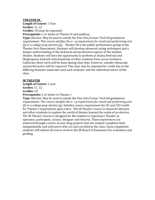## **THEATER III**

**Length of Course:** 1 Year

**Grades:** 11, 12

**Credits:** 10 (may be repeated)

**Prerequisite:** C or better in Theater II and audition.

**Type:** Elective. May be used to satisfy the Fine Arts/Career Tech Ed graduation requirement. *This course satisfies the a—g requirement for visual and performing arts (f) or a college prep elective (g).* Theater III is the public performance group of the Theater Arts Department. Students will develop advanced acting techniques and a deeper understanding of the technical and production aspects of the modem theater. Students will have the opportunity to perform at drama festivals and Shakespeare festivals with hundreds of other students from across Southern California. Most work will be done during class time, however, outside rehearsals and performance will be required. This class may be repeated for credit due to the differing dramatic materials used each semester and the individual nature of the class.

## **IB THEATER**

**Length of Course:** 1 year

**Grades:** 11, 12

**Credits:** 10

**Prerequisite:** C or better in Theater I

**Type:** Elective. May be used to satisfy the Fine Arts/Career Tech Ed graduation requirement. *This course satisfies the a—g requirement for visual and performing arts (f) or a college prep elective (g).* Satisfies course requirement for UC and CSU credit for Theater I requirement upon entry. The IB Theater Course is research intensive and offers students to explore the world of theater beyond the realm of an elective. The IB Theater Course is designed for the student to experience Theater as spectator, participant, creator, designer and theorist. These experiences are achieved through a series of year-long projects that the student completes both independently and with peers who are also enrolled in the class. Upon completion students will submit all course work to the IB Board of Examiners for evaluation and grading.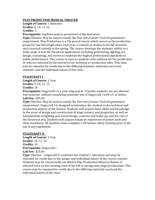## **PLAY PRODUCTION-MUSICAL THEATER**

**Length of Course:** 1 Semester

**Grades:** 9, 10, 11, 12

**Credits:** 5

**Prerequisite:** Audition and/or permission of the instructor.

**Type:** Elective. May be used to satisfy the Fine Arts/Career Tech Ed graduation requirement. Play Production is a 7th period course which serves as the production group for two full-length plays each year: a comedy or drama in the fall semester and a musical comedy in the spring. The course develops the students' ability in a wide range of real life theatrical applications including performing, lighting, set design, costuming, and strives to maintain the highest professional standards in public performance. This course is open to students who audition for the production or who are selected by the instructor for technical or production roles. This class may be repeated for credit due to the differing dramatic materials used each semester and the individual nature of the class.

## **STAGECRAFT I**

**Length of Course:** 1 Year **Grades:** 9, 10, 11, 12

**Credits:** 10

**Prerequisite:** Stagecraft I is a year long course. Transfer students are not allowed 2nd semester without completing semester one of Stagecraft I with a C or better. **Lab Fee:** \$25.00

**Type:** Elective. May be used to satisfy the Fine Arts/Career Tech Ed graduation requirement. Stagecraft I is designed to introduce the student to the technical and production aspects of the theater. Students will acquire basic skills and knowledge in the areas of design and construction of stage scenery and properties, as well as fundamentals of lighting and sound design, costume and make-up, and the role of the theatrical arts. Students will acquire hands on experience of power tools and shop machinery. All students must complete a 30 minute safety training prior to the use of any equipment.

## **STAGECRAFT II**

**Length of Course:** 1 Year **Grades:** 10, 11, 12 **Credits:** 10 **Prerequisite:** Stagecraft I **Lab Fee:** \$25.00

**Type:** Elective. Stagecraft II continues the student's' education and may be repeated for credit due to the unique and individual nature of the course content. Students may be concurrently enrolled in Play Production-Musical Theater if selected to be on the running crew of the fall or spring main stage productions. This course may be repeated for credit due to the differing materials used and the individual nature of the class.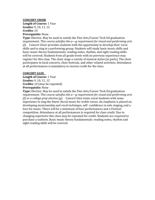## **CONCERT CHOIR**

**Length of Course:** 1 Year **Grades:** 9, 10, 11, 12 **Credits:** 10 **Prerequisite:** None

**Type:** Elective. May be used to satisfy the Fine Arts/Career Tech Ed graduation requirement. *This course satisfies the a—g requirement for visual and performing arts (f).* Concert Choir provides students with the opportunity to develop their vocal skills and to sing in a performing group. Students will study basic music skills and basic music theory fundamentals; reading notes, rhythm, and sight reading skills will be covered. Students from all grade levels with no previous experience may register for this class. The choir sings a variety of musical styles (in parts). The choir participates in local concerts, choir festivals, and other related activities. Attendance at all performances is mandatory to receive credit for the class.

#### **CONCERT GLEE**

**Length of Course:** 1 Year **Grades:** 9, 10, 11, 12 **Credits:** 10 (may be repeated) **Prerequisite:** None

**Type:** Elective. May be used to satisfy the Fine Arts/Career Tech Ed graduation requirement. *This course satisfies the a—g requirement for visual and performing arts (f) or a college prep elective (g).* Concert Glee trains vocal students with some experience to sing the finest choral music for treble voices. An emphasis is placed on developing musicianship and vocal technique, self- confidence in solo singing, and a love for music. There will be a minimum of four performances and a Festival competition. Attendance at all performances is required for class credit. Due to changing repertoire this class may be repeated for credit. Students are required to purchase a uniform. Basic music theory fundamentals: reading notes, rhythm and sight reading skills will be covered.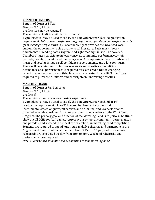## **CHAMBER SINGERS**

**Length of Course:** 1 Year **Grades:** 9, 10, 11, 12 **Credits:** 10 (may be repeated) **Prerequisite:** Audition with Music Director

**Type:** Elective. May be used to satisfy the Fine Arts/Career Tech Ed graduation requirement. *This course satisfies the a—g requirement for visual and performing arts (f) or a college prep elective (g).* Chamber Singers provides the advanced vocal student the opportunity to sing quality vocal literature. Basic music theory fundamentals: reading notes, rhythm, and sight reading skills will be covered. Chamber Singers participate in local concerts, community performances, choir festivals, benefit concerts, and tour every year. An emphasis is placed on advanced music and vocal technique, self-confidence in solo singing, and a love for music. There will be a minimum of ten performances and a festival competition. Attendance at all performances is required for class credit. Due to changing repertoire concerts each year, this class may be repeated for credit. Students are required to purchase a uniform and participate in fundraising activities.

## **MARCHING BAND**

**Length of Course:** Fall Semester **Grades:** 9, 10, 11, 12 **Credits:** 5

**Prerequisite:** Some previous musical experience.

**Type:** Elective. May be used to satisfy the Fine Arts/Career Tech Ed or PE graduation requirement. The CCHS marching band entails the wind instrumentalists, color guard, pit section, and drum line; and is a performanceoriented ensemble designed for all new and returning students to the CCHS Band Program. The primary goal and function of the Marching Band is to perform halftime shows at all CCHS football games, represent our school at community performances and parades, and succeed to the best of our abilities in marching band competition. Students are required to spend long hours in daily rehearsal and participate in the August Band Camp. Daily rehearsals are from 3:15 to 5:15 pm, and two evening rehearsals are scheduled weekly from 4pm to 8pm. Weekend rehearsals and performances are required.

*NOTE: Color Guard students need not audition to join marching band.*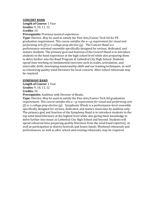#### **CONCERT BAND**

**Length of Course:** 1 Year **Grades:** 9, 10, 11, 12

**Credits:** 10

**Prerequisite:** Previous musical experience.

**Type:** Elective. May be used to satisfy the Fine Arts/Career Tech Ed for PE graduation requirement. *This course satisfies the a—g requirement for visual and performing arts (f) or a college prep elective (g).* The Concert Band is a performance-oriented ensemble specifically designed for serious, dedicated, and mature students. The primary goal and function of the Concert Band is to introduce students to the band experience at the high school level while also preparing them to delve further into the Band Program at Cathedral City High School. Students spend time working on fundamental exercises such as scales, articulation, and intervallic drills, developing musicianship skills and ear training techniques, as well as rehearsing quality wind literature for local concerts. After school rehearsals may be required.

#### **SYMPHONY BAND**

**Length of Course:** 1 Year

**Grades:** 9, 10, 11, 12

**Credits:** 10

**Prerequisite:** Audition with Director of Bands.

**Type:** Elective. May be used to satisfy the Fine Arts/Career Tech Ed graduation requirement. *This course satisfies the a—g requirement for visual and performing arts (f) or a college prep elective (g).* Symphonic Winds is a performance-level ensemble specifically designed for serious, dedicated, and mature musicians by audition only. The primary goal and function of the Symphony Band is to introduce students to the top wind band literature at the highest level while also giving them knowledge to delve further into music at Cathedral City High School and beyond. Students will spend rehearsal time preparing quality literature from the wind band repertory, as well as participation in district festivals and honor bands. Weekend rehearsals and performances, as well as after school and evening rehearsals, may be required.